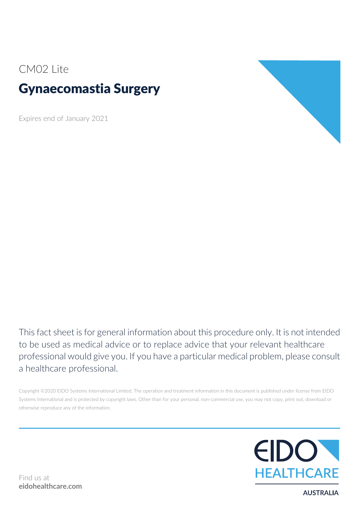## CM02 Lite

# Gynaecomastia Surgery

Expires end of January 2021



This fact sheet is for general information about this procedure only. It is not intended to be used as medical advice or to replace advice that your relevant healthcare professional would give you. If you have a particular medical problem, please consult a healthcare professional.

Copyright ©2020 EIDO Systems International Limited. The operation and treatment information in this document is published under license from EIDO Systems International and is protected by copyright laws. Other than for your personal, non-commercial use, you may not copy, print out, download or otherwise reproduce any of the information.



**AUSTRALIA**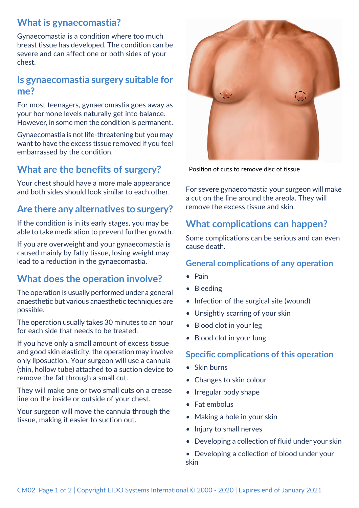### **What is gynaecomastia?**

Gynaecomastia is a condition where too much breast tissue has developed. The condition can be severe and can affect one or both sides of your chest.

#### **Is gynaecomastia surgery suitable for me?**

For most teenagers, gynaecomastia goes away as your hormone levels naturally get into balance. However, in some men the condition is permanent.

Gynaecomastia is not life-threatening but you may want to have the excess tissue removed if you feel embarrassed by the condition.

### **What are the benefits of surgery?**

Your chest should have a more male appearance and both sides should look similar to each other.

### **Are there any alternatives to surgery?**

If the condition is in its early stages, you may be able to take medication to prevent further growth.

If you are overweight and your gynaecomastia is caused mainly by fatty tissue, losing weight may lead to a reduction in the gynaecomastia.

### **What does the operation involve?**

The operation is usually performed under a general anaesthetic but various anaesthetic techniques are possible.

The operation usually takes 30 minutes to an hour for each side that needs to be treated.

If you have only a small amount of excess tissue and good skin elasticity, the operation may involve only liposuction. Your surgeon will use a cannula (thin, hollow tube) attached to a suction device to remove the fat through a small cut.

They will make one or two small cuts on a crease line on the inside or outside of your chest.

Your surgeon will move the cannula through the tissue, making it easier to suction out.



Position of cuts to remove disc of tissue

For severe gynaecomastia your surgeon will make a cut on the line around the areola. They will remove the excess tissue and skin.

### **What complications can happen?**

Some complications can be serious and can even cause death.

#### **General complications of any operation**

- Pain
- Bleeding
- Infection of the surgical site (wound)
- Unsightly scarring of your skin
- Blood clot in your leg
- Blood clot in your lung

#### **Specific complications of this operation**

- Skin burns
- Changes to skin colour
- Irregular body shape
- Fat embolus
- Making a hole in your skin
- Injury to small nerves
- Developing a collection of fluid under your skin

• Developing a collection of blood under your skin